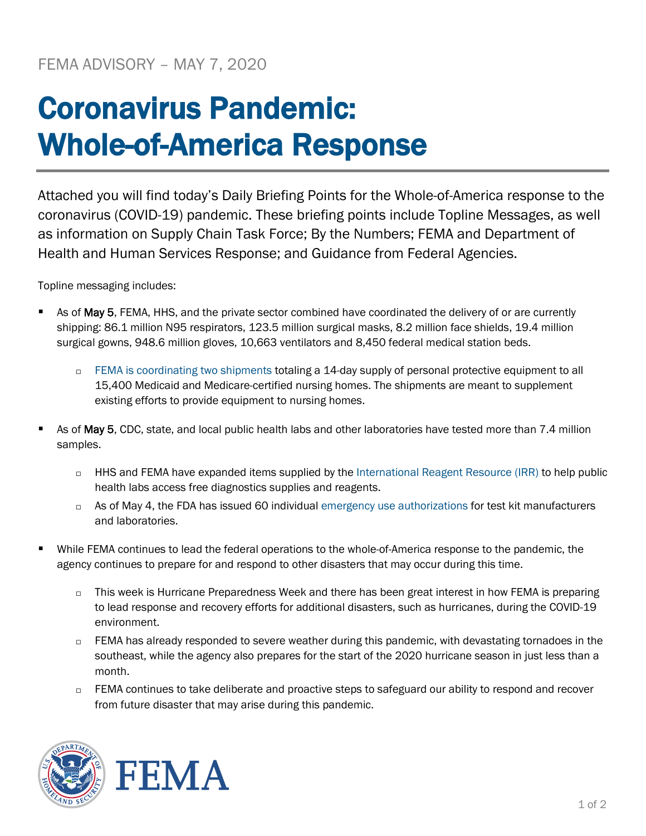## Coronavirus Pandemic: Whole-of-America Response

Attached you will find today's Daily Briefing Points for the Whole-of-America response to the coronavirus (COVID-19) pandemic. These briefing points include Topline Messages, as well as information on Supply Chain Task Force; By the Numbers; FEMA and Department of Health and Human Services Response; and Guidance from Federal Agencies.

Topline messaging includes:

- As of May 5, FEMA, HHS, and the private sector combined have coordinated the delivery of or are currently shipping: 86.1 million N95 respirators, 123.5 million surgical masks, 8.2 million face shields, 19.4 million surgical gowns, 948.6 million gloves, 10,663 ventilators and 8,450 federal medical station beds.
	- □ [FEMA is coordinating two shipments](https://www.fema.gov/news-release/2020/04/30/personal-protective-equipment-medicare-and-medicaid-nursing-homes) totaling a 14-day supply of personal protective equipment to all 15,400 Medicaid and Medicare-certified nursing homes. The shipments are meant to supplement existing efforts to provide equipment to nursing homes.
- As of May 5, CDC, state, and local public health labs and other laboratories have tested more than 7.4 million samples.
	- □ HHS and FEMA have expanded items supplied by the [International Reagent Resource \(IRR\)](http://www.internationalreagentresource.org/) to help public health labs access free diagnostics supplies and reagents.
	- $\Box$  As of May 4, the FDA has issued 60 individual [emergency use authorizations](https://www.fda.gov/medical-devices/emergency-situations-medical-devices/emergency-use-authorizations) for test kit manufacturers and laboratories.
- While FEMA continues to lead the federal operations to the whole-of-America response to the pandemic, the agency continues to prepare for and respond to other disasters that may occur during this time.
	- $\Box$  This week is Hurricane Preparedness Week and there has been great interest in how FEMA is preparing to lead response and recovery efforts for additional disasters, such as hurricanes, during the COVID-19 environment.
	- $\Box$  FEMA has already responded to severe weather during this pandemic, with devastating tornadoes in the southeast, while the agency also prepares for the start of the 2020 hurricane season in just less than a month.
	- □ FEMA continues to take deliberate and proactive steps to safeguard our ability to respond and recover from future disaster that may arise during this pandemic.